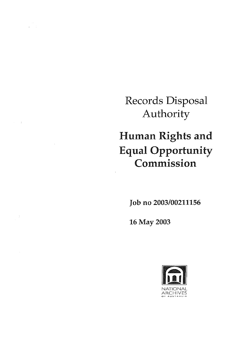Records Disposal Authority

 $\label{eq:2.1} \begin{array}{l} \mathcal{L}_{\mathcal{A}}(\mathbb{R}^2) \\ \mathcal{L}_{\mathcal{A}}(\mathbb{R}^2) \rightarrow \mathbb{R}^2 \end{array}$ 

 $\epsilon \sim 400$ 

 $\frac{1}{\sqrt{2}}\int_{-\infty}^{\infty}$ 

 $\sim$ 

# Human Rights and Equal Opportunity Commission

Job no *2003/00211156* 

16 May 2003

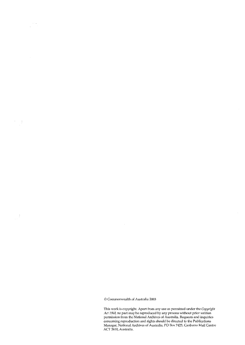© Commonwealth of Australia 2003

 $\frac{1}{\sqrt{2}}\sum_{i=1}^{n-1} \frac{1}{\sqrt{2}}\left(\frac{1}{\sqrt{2}}\right)^2\left(\frac{1}{\sqrt{2}}\right)^2\left(\frac{1}{\sqrt{2}}\right)^2.$ 

 $\mathcal{F}=\mathcal{F}$ 

 $\frac{1}{\sqrt{2}}\int\limits_{0}^{2\pi}$ 

This work. is copyright. Apart from any use as permitted under the *Copyright*  Act 1968, no part may be reproduced by any process without prior written permission from the National Archives of Australia. Requests and inquiries concerning reproduction and rights should be directed to the Publications Manager, National Archives of Australia, PO Box 7425, Canberra Mail Centre ACT 2610, Australia.

 $\hat{\mathcal{A}}$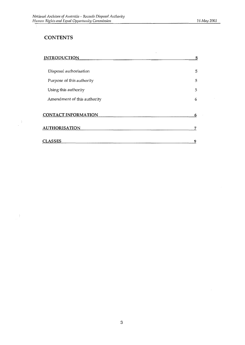### **CONTENTS**

Ì

 $\frac{1}{\sqrt{2}}$ 

 $\frac{1}{\sqrt{2}}$ 

| <b>INTRODUCTION</b>         | 5 |
|-----------------------------|---|
| Disposal authorisation      | 5 |
| Purpose of this authority   | 5 |
| Using this authority        | 5 |
| Amendment of this authority | 6 |
| <b>CONTACT INFORMATION</b>  | h |
| <b>AUTHORISATION</b>        |   |
| <b>CLASSES</b>              | 9 |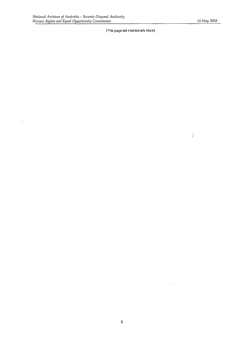¥

Ĵ.

 $\frac{1}{\sqrt{2}}$ 

[This page left intentionally blank]

 $\bar{I}$ 

 $\bar{z}$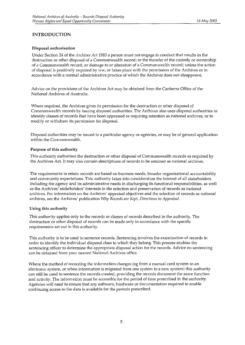#### INTRODUCTION

#### Disposal authorisation

Under Section 24 of the *Archives Act* 1983 a person must not engage in conduct that results in the destruction or other disposal of a Commonwealth record; or the transfer of the custody or ownership of a Commonwealth record; or damage to or alteration of a Commonwealth record; unless the action of disposal is positively required by law, or takes place with the permission of the Archives or in accordance with a normal administrative practice of which the Archives does not disapprove.

Advice on the provisions of the Archives Act may be obtained from the Canberra Office of the National Archives of Australia.

Where required, the Archives gives its permission for the destruction or other disposal of Commonwealth records by issuing disposal authorities. The Archives also uses disposal authorities to identify classes of records that have been appraised as requiring retention as national archives, or to modify or withdraw its permission for disposal.

Disposal authorities may be issued to a particular agency or agencies, or may be of general application within the Commonwealth.

#### Purpose of this authority

This authority authorises the destruction or other disposal of Commonwealth records as required by the Archives Act. It may also contain descriptions of records to be retained as national archives.

**The requirements to retain records are based on business needs, broader organisational** accountability and community expectations. This authority takes into consideration the interest of all stakeholders including the agency and its administrative needs in discharging its functional responsibilities, as well as the Archives' stakeholders' interests in the selection and preservation of records as national archives. For information on the Archives' appraisal objectives and the selection of records as national archives, see the Archives' publication *Why Records are Kept*, *Directions in Appraisal*.

#### Using this authority

This authority applies only to the records or classes of records described in the authority. The destruction or other disposal of records can be made only in accordance with the specific requirements set out in this authority.

**This authority is to be used to sentence records. Sentencing involves the examination of records in**  order to identify the individual disposal class to which they belong. This process enables the sentencing officer to determine the appropriate disposal action for the records. Advice on sentencing **can be obtained from your nearest National Archives office.** 

Where the method of recording the informa tion changes (eg from a manual card system to an electronic system, or when information is migrated from one system to a new system) this authority can still be used to sentence the records created, providing the records document the same function and activity. The information must be accessible for the period of time prescribed in the authority. Agencies will need to ensure that any software, hardware or documentation required to enable continuing access to the data is available for the periods prescribed.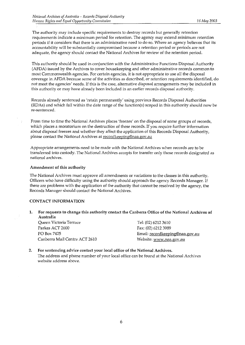The authority may include specific requirements to destroy records but generally retention **requirements indicate a minimum period for retention. The agency may extend minimum retention**  periods if it considers that there is an administrative need to do so. Where an agency believes that its accountability will be substantially compromised because a retention period or periods are not adequate, the agency should contact the National Archives for review of the retention period.

This authority should be used in conjunction with the Administrative Functions Disposal Authority (AFDA) issued by the Archives to cover housekeeping and other administrative records common to most Commonwealth agencies. For certain agencies, it is not appropriate to use all the disposal coverage in AFDA because some of the activities as described, or retention requirements identified, do not meet the agencies' needs. If this is the case, alternative disposal arrangements may be included in this authority or may have already been included in an earlier records disposal authority.

Records already sentenced as 'retain permanently' using previous Records Disposal Authorities (RDAs) and which fall within the date range of the function(s) scoped in this authority should now be **re-sentenced.** 

From time to time the National Archives places 'freezes' on the disposal of some groups of records, which places a moratorium on the destruction of these records. If you require further information about disposal freezes and whether they affect the application of this Records Disposal Authority, **please contact the National Archives at recordkeeping;@naa.gov.au** 

Appropriate arrangements need to be made with the National Archives when records are to be transferred into custody. The National Archives accepts for transfer only those records designated as **national archives.** 

#### Amendment of this authority

The National Archives must approve all amendments or variations to the classes in this authority. Officers who have difficulty using the authority should approach the agency Records Manager. If there are problems with the application of the authority that cannot be resolved by the agency, the Records Manager should contact the National Archives.

#### CONTACT INFORMATION

1. For requests to change this authority contact the Canberra Office of the National Archives of Australia

Queen Victoria Terrace Tel: (02) 6212 3610 Parkes ACT 2600 Fax: (02) 6212 3989

PO Box 7425 **Email:** recordkeeping@naa.gov.au Canberra Mail Centre ACT 2610 Website: www.naa.gov.au

2. For sentencing advice contact your local office of the National Archives. The address and phone number of your local office can be found at the National Archives website address above.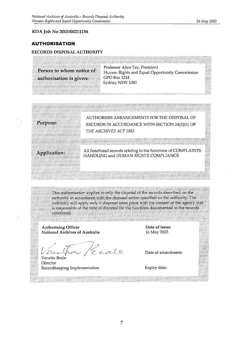#### RDA Job No *2003/00211156*

### **AUTHORISATION**

### RECORDS DISPOSAL AUTHORITY

|                                                                                                                                                                                                                                  | the company of the company and a series of the company of the company of the company of the company of the company of the company of the company of the company of the company of the company of the company of the company of |                                  |
|----------------------------------------------------------------------------------------------------------------------------------------------------------------------------------------------------------------------------------|--------------------------------------------------------------------------------------------------------------------------------------------------------------------------------------------------------------------------------|----------------------------------|
| AS STRAS ASSEMBLED IN STRAIGHT IN DEVICE TO A REPORT OF THE CONTRACTOR IN THE CONTRACT OF THE CONTRACT OF THE CONTRACT OF THE CONTRACT OF THE CONTRACT OF THE CONTRACT OF THE CONTRACT OF THE CONTRACT OF THE CONTRACT OF THE    |                                                                                                                                                                                                                                |                                  |
| And MAT Advertisement of present the end Apropriate structure of Matters and Matters planned and the many bespect to program a population program and program and the program and the program and                                |                                                                                                                                                                                                                                |                                  |
| a the chithman the book hours house a right of magazing impact has a agreed of an idea capacities and magazing impact and magazing and magazing the common states of the common states of the common states of the common stat   |                                                                                                                                                                                                                                |                                  |
| a about the book and more interest cash, in more interest in the case of a contract cash and a contract to consecutive associated to contract the contract of the contract of the contract of the contract of the contract of    |                                                                                                                                                                                                                                |                                  |
|                                                                                                                                                                                                                                  |                                                                                                                                                                                                                                |                                  |
| ment the communications experience that is executively assigned in his contraction of the contraction in the contract of a contraction of the contraction of the contraction of the contraction of the contraction of the cont   |                                                                                                                                                                                                                                |                                  |
| as the team demonstrated and the contract of the contract of the contract of the contract of the contract of the contract of the contract of the contract of the contract of the contract of the contract of the contract of t   |                                                                                                                                                                                                                                |                                  |
| <u> 1979 - 1979 - 1989 - 1989 - 1989 - 1989 - 1989 - 1989 - 1989 - 1989 - 1989 - 1980 - 1981 - 1981 - 1981 - 1981 - 1981 - 1981 - 1981 - 1981 - 1981 - 1981 - 1981 - 1981 - 1981 - 1982 - 198</u>                                | Professor Alice Tay, President                                                                                                                                                                                                 |                                  |
|                                                                                                                                                                                                                                  |                                                                                                                                                                                                                                |                                  |
|                                                                                                                                                                                                                                  |                                                                                                                                                                                                                                |                                  |
|                                                                                                                                                                                                                                  |                                                                                                                                                                                                                                | 4.11                             |
|                                                                                                                                                                                                                                  |                                                                                                                                                                                                                                |                                  |
| $\blacksquare$ Person to whom notice of $\blacksquare$                                                                                                                                                                           | Human Rights and Equal Opportunity Commission                                                                                                                                                                                  |                                  |
| TWAS TWO FIRM TOWER ETTER TWASHING ENGLANDED AND AN ENGLAND FOR THE CONTRACTOR OF THE WAY OF THE WAY OF THE RESIDENCE.                                                                                                           |                                                                                                                                                                                                                                |                                  |
| in the standard and contact the context of the first constitution of the standard context of the standard control of the constitution of the first context of the standard context of the standard context of the standard con   |                                                                                                                                                                                                                                |                                  |
|                                                                                                                                                                                                                                  |                                                                                                                                                                                                                                |                                  |
| $\ddotsc$ , and the state of the contract of the contract of the contract of the contract of the contract of the contract of the contract of the contract of the contract of the contract of the contract of the contract of the |                                                                                                                                                                                                                                |                                  |
| . A high companies are a survey throughout the survey of the companies are a constructed and companies are a survey of the companies of the companies of the companies of the companies of the companies of the companies of t   |                                                                                                                                                                                                                                |                                  |
|                                                                                                                                                                                                                                  |                                                                                                                                                                                                                                |                                  |
|                                                                                                                                                                                                                                  |                                                                                                                                                                                                                                |                                  |
|                                                                                                                                                                                                                                  | GPO Box 5218                                                                                                                                                                                                                   |                                  |
|                                                                                                                                                                                                                                  |                                                                                                                                                                                                                                |                                  |
|                                                                                                                                                                                                                                  |                                                                                                                                                                                                                                |                                  |
|                                                                                                                                                                                                                                  |                                                                                                                                                                                                                                |                                  |
| authorisation is given:                                                                                                                                                                                                          |                                                                                                                                                                                                                                |                                  |
| atomic discussion of the control of the control of the control of the control of the control of the control of                                                                                                                   |                                                                                                                                                                                                                                | $\ddotsc$                        |
|                                                                                                                                                                                                                                  |                                                                                                                                                                                                                                | $100 - 100$                      |
|                                                                                                                                                                                                                                  |                                                                                                                                                                                                                                | 44                               |
|                                                                                                                                                                                                                                  | Sydney NSW 1042                                                                                                                                                                                                                |                                  |
| uril irinini marasının başlanı bağlanı bağlan bağlanın müzik bağlanın başlanın başlanın bağlanın başlanın başla                                                                                                                  |                                                                                                                                                                                                                                | B                                |
|                                                                                                                                                                                                                                  |                                                                                                                                                                                                                                |                                  |
| to the field of the students of the field of the field of the field of the field of the field of the field of the field of the field of the field of the field of the field of the field of the field of the field of the top    |                                                                                                                                                                                                                                |                                  |
| the means are expected to be a second of a complete the basic control completed and complete the complete state of the second to be accepted to the second to the second to the second to the second to the second to the seco   |                                                                                                                                                                                                                                | $\sim$                           |
| terari este en la contraria de la contrarección de la contraria de la contraria de unha este de la contraria de un contrario de la contraria de la contraria de la contraria de la contra                                        |                                                                                                                                                                                                                                |                                  |
| ALEMAN MARKA MALAM LA LA BANA ANALAM KE MELI BIALAM TARA LA MUNICIPALA (A MUNICIPALA MALAM MALAM MALAM MALAM MALAM MALAM MALAM MALAM MALAM MALAM MALAM MALAM MALAM MALAM MALAM MALAM MALAM MALAM MALAM MALAM MALAM MALAM MALAM   |                                                                                                                                                                                                                                | 43                               |
|                                                                                                                                                                                                                                  |                                                                                                                                                                                                                                | -92                              |
|                                                                                                                                                                                                                                  |                                                                                                                                                                                                                                |                                  |
|                                                                                                                                                                                                                                  |                                                                                                                                                                                                                                | $\cdots$<br>$\sim$ $\sim$ $\sim$ |
|                                                                                                                                                                                                                                  |                                                                                                                                                                                                                                |                                  |

|              | AUTHORISES ARRANGEMENTS FOR THE DISPOSAL OF                                                            |
|--------------|--------------------------------------------------------------------------------------------------------|
| Purpose:     | RECORDS IN ACCORDANCE WITH SECTION 24(2)(b) OF                                                         |
|              | THE ARCHIVES ACT 1983                                                                                  |
|              |                                                                                                        |
|              |                                                                                                        |
| Application: | All functional records relating to the functions of COMPLAINTS<br>HANDLING and HUMAN RIGHTS COMPLIANCE |
|              |                                                                                                        |
|              |                                                                                                        |
|              |                                                                                                        |

This authorisation applies to only the disposal of the records described on the authority in accordance with the disposal action specified on the authority. The authority will apply only if disposal takes place with the consent of the agency that is responsible at the time of disposal for the functions documented in the records concerned.

Authorising Officer National Archives of Australia

")<br>Eccle

The contract of the contract of the contract of the contract of the contract of the contract of the contract of the contract of the contract of the contract of the contract of the contract of the contract of the contract o

Venetia Beale Director Recordkeeping Implementation **Date of issue:**  16 May 2003

Date of amendment:

Expiry date: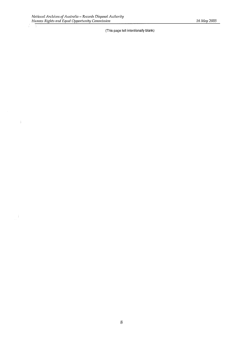Ò, j.

 $\sim$ 

 $\frac{1}{2}$ 

 $\frac{1}{\sqrt{2}}$ 

(This page left intentionally blank)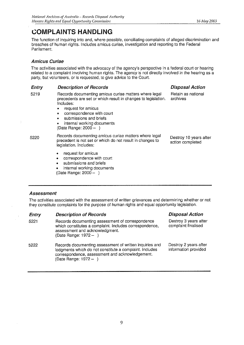The function of inquiring into and, where possible, conciliating complaints of alleged discrimination and breaches of human rights. Includes amicus curiae, investigation and reporting to the Federal Parliament.

### **Amicus Curiae**

The activities associated with the advocacy of the agency's perspective in a federal court or hearing related to a complaint involving human rights. The agency is not directly involved in the hearing as a party, but volunteers, or is requested, to give advice to the Court.

| <b>Entry</b> | <b>Description of Records</b>                                                                                                                                                                                                                                                                       | <b>Disposal Action</b>                     |
|--------------|-----------------------------------------------------------------------------------------------------------------------------------------------------------------------------------------------------------------------------------------------------------------------------------------------------|--------------------------------------------|
| 5219         | Records documenting amicus curiae matters where legal<br>precedents are set or which result in changes to legislation.<br>Includes:<br>request for amicus<br>۰<br>correspondence with court<br>۰<br>submissions and briefs<br>$\bullet$<br>internal working documents<br>۰<br>(Date Range: 2000 - ) | Retain as national<br>archives             |
| 5220         | Records documenting amicus curiae matters where legal<br>precedent is not set or which do not result in changes to<br>legislation. Includes:                                                                                                                                                        | Destroy 10 years after<br>action completed |
|              | request for amicus<br>۰<br>correspondence with court<br>۰<br>submissions and briefs<br>۰<br>internal working documents<br>۰<br>(Date Range: 2000 - )                                                                                                                                                |                                            |

### **Assessment**

The activities associated with the assessment of written grievances and determining whether or not they constitute complaints for the purpose of human rights and equal opportunity legislation.

| Entry | <b>Description of Records</b>                                                                                                                                                                  | <b>Disposal Action</b>                        |
|-------|------------------------------------------------------------------------------------------------------------------------------------------------------------------------------------------------|-----------------------------------------------|
| 5221  | Records documenting assessment of correspondence<br>which constitutes a complaint. Includes correspondence,<br>assessment and acknowledgment.<br>(Date Range: $1972 - 1$ )                     | Destroy 3 years after<br>complaint finalised  |
| 5222  | Records documenting assessment of written inquiries and<br>lodgments which do not constitute a complaint. Includes<br>correspondence, assessment and acknowledgement.<br>(Date Range: 1972 - ) | Destroy 2 years after<br>information provided |

9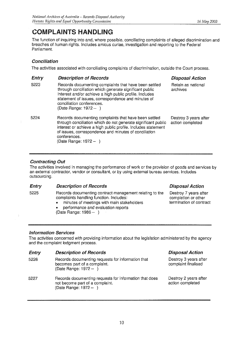The function of inquiring into and, where possible. conciiiating complaints of aileged discrimination and breaches of human rights. Includes amicus curiae, investigation and reporting to the Federai Parliament.

### **Conciliation**

The activities associated with conciliating complaints of discrimination, outside the Court process.

| <b>Entry</b> | <b>Description of Records</b>                                                                                                                                                                                                                                                                 | <b>Disposal Action</b>                    |
|--------------|-----------------------------------------------------------------------------------------------------------------------------------------------------------------------------------------------------------------------------------------------------------------------------------------------|-------------------------------------------|
| 5223         | Records documenting complaints that have been settled<br>through conciliation which generate significant public<br>interest and/or achieve a high public profile. Includes<br>statement of issues, correspondence and minutes of<br>conciliation conferences.<br>(Date Range: 1972 - )        | Retain as national<br>archives            |
| 5224         | Records documenting complaints that have been settled<br>through conciliation which do not generate significant public<br>interest or achieve a high public profile. Includes statement<br>of issues, correspondence and minutes of conciliation<br>conferences.<br>(Date Range: $1972 - 1$ ) | Destroy 3 years after<br>action completed |

### **Contracting Out**

The activities involved in managing the performance of work or the provision of goods and services by an external contractor, vendor or consultant, or by using external bureau services. Includes outsourcing.

| Entry | <b>Description of Records</b>                                                                                                                                                                                                        |
|-------|--------------------------------------------------------------------------------------------------------------------------------------------------------------------------------------------------------------------------------------|
| 5225  | Records documenting contract management relati<br>complaints handling function. Includes:<br>minutes of meetings with main stakeholders<br>$\bullet$<br>performance and evaluation reports<br>$\bullet$<br>(Date Range: $1986 - 1$ ) |

### **Disposal Action**

ing to the Destroy 7 years after completion or other termination of contract

### **Information Services**

÷,

The activities concerned with providing information about the legislation administered by the agency and the complaint lodgment process.

| <b>Entry</b> | <b>Description of Records</b>                                                                                      | <b>Disposal Action</b>                       |
|--------------|--------------------------------------------------------------------------------------------------------------------|----------------------------------------------|
| 5226         | Records documenting requests for information that<br>becomes part of a complaint.<br>(Date Range: 1972 - )         | Destroy 3 years after<br>complaint finalised |
| 5227         | Records documenting requests for information that does<br>not become part of a complaint.<br>(Date Range: 1972 - ) | Destroy 2 years after<br>action completed    |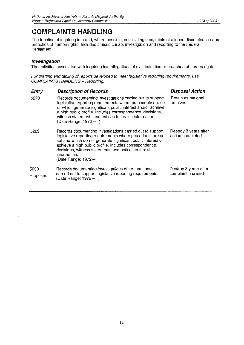The function of inquiring into and, where possible, conciliating complaints of alleged discrimination and breaches of human rights. Includes amicus curiae, investigation and reporting to the Federai Parliament.

### **Investigation**

 $\frac{1}{3}$ 

The activities associated with inquiring into allegations of discrimination or breaches of human rights.

For drafting and tabiing of reports developed to meet legislative reporting requirements, use COMPLAINTS HANDLING - Reporting.

| <b>Entry</b>     | <b>Description of Records</b>                                                                                                                                                                                                                                                                                                                        | <b>Disposal Action</b>                       |
|------------------|------------------------------------------------------------------------------------------------------------------------------------------------------------------------------------------------------------------------------------------------------------------------------------------------------------------------------------------------------|----------------------------------------------|
| 5228             | Records documenting investigations carried out to support<br>legislative reporting requirements where precedents are set<br>or which generate significant public interest and/or achieve<br>a high public profile. Includes correspondence, decisions,<br>witness statements and notices to furnish information.<br>(Date Range: $1972 - 1$ )        | Retain as national<br>archives               |
| 5229             | Records documenting investigations carried out to support<br>legislative reporting requirements where precedents are not<br>set and which do not generate significant public interest or<br>achieve a high public profile. Includes correspondence,<br>decisions, witness statements and notices to furnish<br>information.<br>(Date Range: 1972 - ) | Destroy 3 years after<br>action completed    |
| 5230<br>Proposed | Records documenting investigations other than those<br>carried out to support legislative reporting requirements.<br>(Date Range: 1972 - )                                                                                                                                                                                                           | Destroy 3 years after<br>complaint finalised |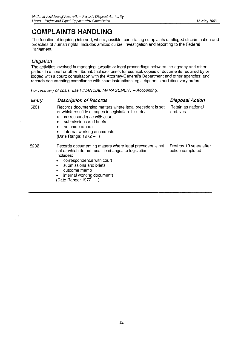The function of inquiring into and, where possible, conciliating complaints of alleged discrimination and breaches of human rights. Inciudes amicus curiae, investigation and reporting to the Federai Parliament.

### **Litigation**

The activities involved **in** managing lawsuits or legal proceedings between the agency and other parties in a court or other tribunal. Inciudes briefs for counsel; copies of documents required by or lodged with a court; consultation with the Attorney-General's Department and other agencies; and records documenting compliance with court instructions, eg subpoenas and discovery orders.

For recovery of costs, use FINANCIAL MANAGEMENT - Accounting.

### **Entry Description of Records Disposal Action Control Control of Action Action Action Action**

5231 Records documenting matters where legal precedent is set Retain as national<br>or which result in changes to legislation. Includes: archives or which result in changes to legislation. Includes:

- correspondence with court
- submissions and briefs
- outcome memo
- internal working documents
- (Date Range:  $1972 1$ )

5232 Records documenting matters where legal precedent is not Destroy 10 years after set or which do not result in changes to legislation. The action completed Includes:

- correspondence with court
- submissions and briefs
- outcome memo
- internal working documents

(Date Range: 1972 - )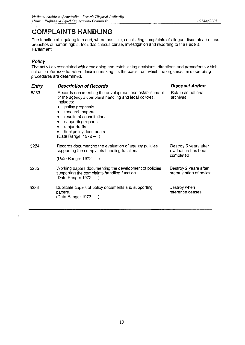The function of inquiring into and, where possible, conciliating complaints of aileged discrimination and breaches of human rights. Includes amicus curiae, investigation and reporting to the Federal Parliament.

### **Policy**

 $\overline{1}$ 

The activities associated with developing and establishing decisions, directions and precedents which act as a reference for future decision making, as the basis from which the organisation's operating procedures are determined.

| Entry | <b>Description of Records</b>                                                                                                                                                                                                                                                                                         | <b>Disposal Action</b>                                    |
|-------|-----------------------------------------------------------------------------------------------------------------------------------------------------------------------------------------------------------------------------------------------------------------------------------------------------------------------|-----------------------------------------------------------|
| 5233  | Records documenting the development and establishment<br>of the agency's complaint handling and legal policies.<br>Includes:<br>policy proposals<br>۰<br>research papers<br>۰<br>results of consultations<br>supporting reports<br>۰<br>major drafts<br>۰<br>final policy documents<br>0<br>(Date Range: $1972 - 1$ ) | Retain as national<br>archives                            |
| 5234  | Records documenting the evaluation of agency policies<br>supporting the complaints handling function.<br>(Date Range: 1972 - )                                                                                                                                                                                        | Destroy 5 years after<br>evaluation has been<br>completed |
| 5235  | Working papers documenting the development of policies<br>supporting the complaints handling function.<br>(Date Range: 1972 - )                                                                                                                                                                                       | Destroy 2 years after<br>promulgation of policy           |
| 5236  | Duplicate copies of policy documents and supporting<br>papers.<br>(Date Range: 1972 - )                                                                                                                                                                                                                               | Destroy when<br>reference ceases                          |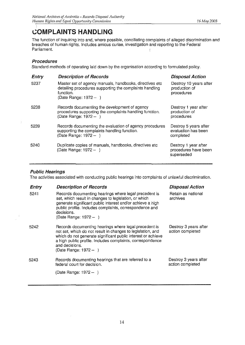The function of inquiring into and, where possible, conciliating compiaints of alleged discrimination and breaches of human rights. Includes amicus curiae, investigation and reporting to the Federai Parliament.  $\ddot{i}$ 

### **Procedures**

Standard methods of operating iaid down by the organisation according to formuiated poiicy.

| Entry | <b>Description of Records</b>                                                                                                                                | <b>Disposal Action</b>                                     |
|-------|--------------------------------------------------------------------------------------------------------------------------------------------------------------|------------------------------------------------------------|
| 5237  | Master set of agency manuals, handbooks, directives etc<br>detailing procedures supporting the complaints handling<br>function.<br>(Date Range: $1972 - 1$ ) | Destroy 10 years after<br>production of<br>procedures      |
| 5238  | Records documenting the development of agency<br>procedures supporting the complaints handling function.<br>(Date Range: $1972 - 1$ )                        | Destroy 1 year after<br>production of<br>procedures        |
| 5239  | Records documenting the evaluation of agency procedures<br>supporting the complaints handling function.<br>(Date Range: $1972 - 1$ )                         | Destroy 5 years after<br>evaluation has been<br>completed  |
| 5240  | Duplicate copies of manuals, handbooks, directives etc.<br>(Date Range: 1972 - )                                                                             | Destroy 1 year after<br>procedures have been<br>superseded |

### **Public Hearings**

 $\mathcal{A}$ 

The activities associated with conducting public hearings into complaints of uniawful discrimination.

| Entry | <b>Description of Records</b>                                                                                                                                                                                                                                                                 | <b>Disposal Action</b>                    |
|-------|-----------------------------------------------------------------------------------------------------------------------------------------------------------------------------------------------------------------------------------------------------------------------------------------------|-------------------------------------------|
| 5241  | Records documenting hearings where legal precedent is<br>set, which result in changes to legislation, or which<br>generate significant public interest and/or achieve a high<br>public profile. Includes complaints, correspondence and<br>decisions.<br>(Date Range: 1972 - )                | Retain as national<br>archives            |
| 5242  | Records documenting hearings where legal precedent is<br>not set, which do not result in changes to legislation, and<br>which do not generate significant public interest or achieve<br>a high public profile. Includes complaints, correspondence<br>and decisions.<br>(Date Range: 1972 - ) | Destroy 3 years after<br>action completed |
| 5243  | Records documenting hearings that are referred to a<br>federal court for decision.<br>(Date Range: 1972 - )                                                                                                                                                                                   | Destroy 3 years after<br>action completed |
|       |                                                                                                                                                                                                                                                                                               |                                           |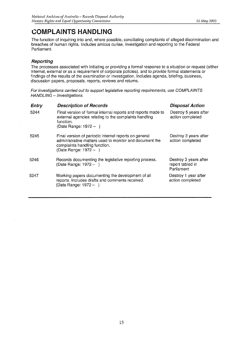The function of inquiring into and, where possible, conciliating complaints of aileged discrimination and breaches of human rights. Includes amicus curiae, investigation and reporting to the Federai Parliament.

### **Reporting**

 $\bar{z}$ 

The processes associated with initiating or providing a formal response to a situation or request (either internal, externai or as a requirement of corporate policies), and to provide formai statements or findings of the resuits of the examination or investigation. inciudes agenda, briefing, business, discussion papers, proposais, reports, reviews and returns.

For investigations carried out to support legislative reporting requirements, use COMPLAINTS HANDLING - Investigations.

| Entry | <b>Description of Records</b>                                                                                                                                              | <b>Disposal Action</b>                                  |
|-------|----------------------------------------------------------------------------------------------------------------------------------------------------------------------------|---------------------------------------------------------|
| 5244  | Final version of formal internal reports and reports made to<br>external agencies relating to the complaints handling<br>function.<br>(Date Range: $1972 - 1$ )            | Destroy 5 years after<br>action completed               |
| 5245  | Final version of periodic internal reports on general<br>administrative matters used to monitor and document the<br>complaints handling function.<br>(Date Range: 1972 - ) | Destroy 3 years after<br>action completed               |
| 5246  | Records documenting the legislative reporting process.<br>(Date Range: $1972 - 1$ )                                                                                        | Destroy 3 years after<br>report tabled in<br>Parliament |
| 5247  | Working papers documenting the development of all<br>reports. Includes drafts and comments received.<br>(Date Range: 1972 - )                                              | Destroy 1 year after<br>action completed                |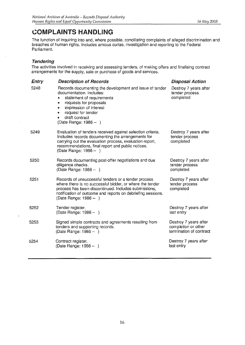The function of inquiring into and, where possibie, conciliating complaints of alleged discrimination and breaches of human rights. Inciudes amicus curiae, investigation and reporting to the Federai Parliament.

### **Tendering**

 $\mathbf{j}$ 

The activities involved in receiving and assessing tenders, of making offers and finalising contract arrangements for the supply, sale or purchase of goods and services.

| <b>Entry</b> | <b>Description of Records</b>                                                                                                                                                                                                                                                      | <b>Disposal Action</b>                                                  |
|--------------|------------------------------------------------------------------------------------------------------------------------------------------------------------------------------------------------------------------------------------------------------------------------------------|-------------------------------------------------------------------------|
| 5248         | Records documenting the development and issue of tender<br>documentation. Includes:<br>statement of requirements<br>۰<br>requests for proposals<br>۰<br>expression of interest<br>$\bullet$<br>request for tender<br>٠<br>draft contract<br>$\bullet$<br>(Date Range: $1986 - 1$ ) | Destroy 7 years after<br>tender process<br>completed                    |
| 5249         | Evaluation of tenders received against selection criteria.<br>Includes records documenting the arrangements for<br>carrying out the evaluation process, evaluation report,<br>recommendations, final report and public notices.<br>(Date Range: 1986 - )                           | Destroy 7 years after<br>tender process<br>completed                    |
| 5250         | Records documenting post-offer negotiations and due<br>diligence checks.<br>(Date Range: 1986 - )                                                                                                                                                                                  | Destroy 7 years after<br>tender process<br>completed                    |
| 5251         | Records of unsuccessful tenders or a tender process<br>where there is no successful bidder, or where the tender<br>process has been discontinued. Includes submissions,<br>notification of outcome and reports on debriefing sessions.<br>(Date Range: 1986 - )                    | Destroy 7 years after<br>tender process<br>completed                    |
| 5252         | Tender register.<br>(Date Range: 1986 - )                                                                                                                                                                                                                                          | Destroy 7 years after<br>last entry                                     |
| 5253         | Signed simple contracts and agreements resulting from<br>tenders and supporting records.<br>(Date Range: 1986 - )                                                                                                                                                                  | Destroy 7 years after<br>completion or other<br>termination of contract |
| 5254         | Contract register.<br>(Date Range: 1986 - )                                                                                                                                                                                                                                        | Destroy 7 years after<br>last entry                                     |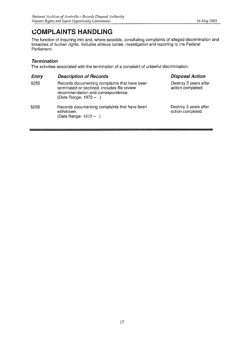The function of inquiring into and, where possible, conciliating complaints of aileged discrimination and breaches of human rights. Includes amicus curiae, investigation and reporting to the Federal Parliament.

### **Termination**

 $\begin{pmatrix} 1 \\ 1 \\ 1 \end{pmatrix}$ 

The activities associated with the termination of a complaint of unlawfui discrimination.

| Entry | <b>Description of Records</b>                                                                                                                                    | <b>Disposal Action</b>                    |
|-------|------------------------------------------------------------------------------------------------------------------------------------------------------------------|-------------------------------------------|
| 5255  | Records documenting complaints that have been<br>terminated or declined. Includes file review<br>recommendation and correspondence.<br>(Date Range: $1972 - 1$ ) | Destroy 3 years after<br>action completed |
| 5256  | Records documenting complaints that have been<br>withdrawn.<br>(Date Range: $1972 - 1$ )                                                                         | Destroy 3 years after<br>action completed |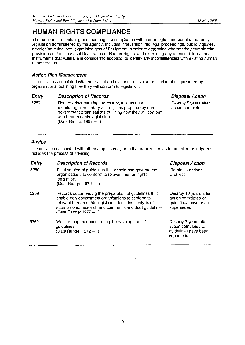The function of monitoring and inquiring into compliance with human rights and equal opportunity legislation administered by the agency. Includes intervention into legal proceedings, public inquiries, developing guidelines, examining acts of Parliament in order to determine whether they comply with provisions of the Universal Declaration of Human Rights, and examining any relevant international instruments that Australia is considering adopting, to identify any inconsistencies with existing human rights treaties.

### **Action Plan Management**

The activities associated with the receipt and evaluation of voluntary action plans prepared by organisations, outlining how they will conform to legislation.

| Entry | <b>Description of Records</b>                                                                                                                                                                                                   | <b>Disposal Action</b>                    |
|-------|---------------------------------------------------------------------------------------------------------------------------------------------------------------------------------------------------------------------------------|-------------------------------------------|
| 5257  | Records documenting the receipt, evaluation and<br>monitoring of voluntary action plans prepared by non-<br>government organisations outlining how they will conform<br>with human rights legislation.<br>(Date Range: 1992 - ) | Destroy 5 years after<br>action completed |

### **Advice**

The activities associated with offering opinions by or to the organisation as to an action or judgement. Includes the process of advising.

| Entry | <b>Description of Records</b>                                                                                                                                                                                                                                   | <b>Disposal Action</b>                                                              |
|-------|-----------------------------------------------------------------------------------------------------------------------------------------------------------------------------------------------------------------------------------------------------------------|-------------------------------------------------------------------------------------|
| 5258  | Final version of guidelines that enable non-government<br>organisations to conform to relevant human rights<br>legislation.<br>(Date Range: $1972 - 1$ )                                                                                                        | Retain as national<br>archives                                                      |
| 5259  | Records documenting the preparation of guidelines that<br>enable non-government organisations to conform to<br>relevant human rights legislation, Includes analysis of<br>submissions, research and comments and draft guidelines.<br>(Date Range: $1972 - 1$ ) | Destroy 10 years after<br>action completed or<br>guidelines have been<br>superseded |
| 5260  | Working papers documenting the development of<br>quidelines.<br>(Date Range: 1972 - )                                                                                                                                                                           | Destroy 3 years after<br>action completed or<br>guidelines have been<br>superseded  |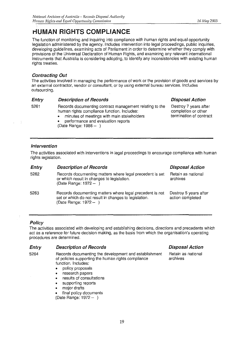The function of monitoring and inquiring into compliance with human rights and equal opportunity legislation administered by the agency. Includes intervention into legal proceedings, public inquiries, developing guidelines, examining acts of Parliament in order to determine whether they comply with provisions of the Universal Declaration of Human Rights, and examining any relevant international instruments that Australia is considering adopting, to identify any inconsistencies with existing human rights treaties.

### **Contracting Out**

The activities involved in managing the performance of work or the provision of goods and services by an external contractor, vendor or consultant, or by using external bureau services. Includes outsourcing.

### **Entry Description of Records Contract Contract Disposal Action Contract Disposal Action**

- 5261 Records documenting contract management relating to the human rights compliance function. Includes:
	- minutes of meetings with main stakeholders
	- performance and evaluation reports

(Date Range:  $1986 -$ )

### **Intervention**

The activities associated with interventions in legal proceedings to encourage compliance with human rights iegislation.

| Entry | <b>Description of Records</b>                                                                                                              | <b>Disposal Action</b>                    |
|-------|--------------------------------------------------------------------------------------------------------------------------------------------|-------------------------------------------|
| 5262  | Records documenting matters where legal precedent is set<br>or which result in changes to legislation.<br>(Date Range: $1972 - 1$ )        | Retain as national<br>archives            |
| 5263  | Records documenting matters where legal precedent is not<br>set or which do not result in changes to legislation.<br>(Date Range: 1972 – ) | Destroy 5 years after<br>action completed |

### **Policy**

The activities associated with developing and establishing decisions, directions and precedents which act as a reference for future decision making, as the basis from which the organisation's operating procedures are determined.

**Entry Description of Records Disposal Action**  5264 Records documenting the development and establishment Retain as national<br>of policies supporting the human rights compliance archives of policies supporting the human rights compliance

- function. Includes: • policy proposals
	- research papers
	- results of consultations
	- supporting reports
	- major drafts
	- final policy documents

(Date Range:  $1972 - 1$ )

Destroy 7 years after completion or other termination of contract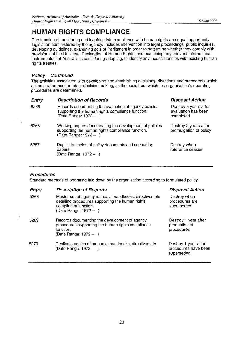The function of monitoring and inquiring into compliance with human rights and equai opportunity iegisiation administered by the agency. Includes intervention into iegai proceedings, public inquiries, developing guidelines, examining acts of Parliament in order to determine whether they comply with provisions of the Universal Declaration of Human Rights, and examining any relevant international instruments that Australia is considering adopting, to identify any inconsistencies with existing human rights treaties.

### **Policy - Continued**

The activities associated with developing and establishing decisions, directions and precedents which act as a reference for future decision making, as the basis from which the organisation's operating procedures are determined.

| <b>Entry</b> | <b>Description of Records</b>                                                                                                           | <b>Disposal Action</b>                                    |
|--------------|-----------------------------------------------------------------------------------------------------------------------------------------|-----------------------------------------------------------|
| 5265         | Records documenting the evaluation of agency policies<br>supporting the human rights compliance function.<br>(Date Range: 1972 - )      | Destroy 5 years after<br>evaluation has been<br>completed |
| 5266         | Working papers documenting the development of policies<br>supporting the human rights compliance function.<br>(Date Range: $1972 - 1$ ) | Destroy 2 years after<br>promulgation of policy           |
| 5267         | Duplicate copies of policy documents and supporting<br>papers.<br>(Date Range: $1972 - 1$ )                                             | Destroy when<br>reference ceases                          |

### **Procedures**

÷

Standard methods of operating laid down by the organisation according to formulated policy.

| Entry | <b>Description of Records</b>                                                                                                                                | <b>Disposal Action</b>                                     |
|-------|--------------------------------------------------------------------------------------------------------------------------------------------------------------|------------------------------------------------------------|
| 5268  | Master set of agency manuals, handbooks, directives etc<br>detailing procedures supporting the human rights<br>compliance function.<br>(Date Range: 1972 - ) | Destroy when<br>procedures are<br>superseded               |
| 5269  | Records documenting the development of agency<br>procedures supporting the human rights compliance<br>function.<br>(Date Range: $1972 - 1$ )                 | Destroy 1 year after<br>production of<br>procedures        |
| 5270  | Duplicate copies of manuals, handbooks, directives etc.<br>(Date Range: 1972 - )                                                                             | Destroy 1 year after<br>procedures have been<br>superseded |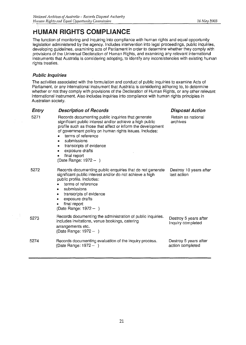The function of monitoring and inquiring into compliance with human rights and equai opportunity legislation administered by the agency. includes intervention into legal proceedings, public inquiries, developing guidelines, examining acts of Parliament in order to determine whether they comply with provisions of the Universal Declaration of Human Rights, and examining any relevant international instruments that Australia is considering adopting, to identify any inconsistencies with existing human rights treaties.

### **Public Inquiries**

 $\rightarrow$   $\frac{3}{4}$ 

The activities associated with the formulation and conduct of public inquiries to examine Acts of Parliament, or any international instrument that Australia is considering adhering to, to determine whether or not they comply with provisions of the Declaration of Human Rights, or any other relevant international instrument. Also includes inquiries into compliance with human rights principles in Australian society.

| <b>Entry</b> | <b>Description of Records</b>                                                                                                                                                                                                                                                                                                                                                           | <b>Disposal Action</b>                     |
|--------------|-----------------------------------------------------------------------------------------------------------------------------------------------------------------------------------------------------------------------------------------------------------------------------------------------------------------------------------------------------------------------------------------|--------------------------------------------|
| 5271         | Records documenting public inquiries that generate<br>significant public interest and/or achieve a high public<br>profile such as those that affect or inform the development<br>of government policy on human rights issues. Includes:<br>terms of reference<br>۰<br>submissions<br>٠<br>transcripts of evidence<br>۰<br>exposure drafts<br>final report<br>۰<br>(Date Range: 1972 - ) | Retain as national<br>archives             |
| 5272         | Records documenting public enquiries that do not generate<br>significant public interest and/or do not achieve a high<br>public profile. Includes:<br>terms of reference<br>submissions<br>۰<br>transcripts of evidence<br>۰<br>exposure drafts<br>final report<br>(Date Range: 1972 - )                                                                                                | Destroy 10 years after<br>last action      |
| 5273         | Records documenting the administration of public inquiries.<br>includes invitations, venue bookings, catering<br>arrangements etc.<br>(Date Range: 1972 - )                                                                                                                                                                                                                             | Destroy 5 years after<br>Inquiry completed |
| 5274         | Records documenting evaluation of the inquiry process.<br>(Date Range: $1972 - )$                                                                                                                                                                                                                                                                                                       | Destroy 5 years after<br>action completed  |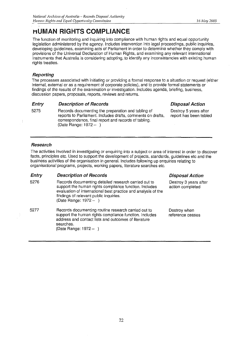The function of monitoring and inquiring into compliance with human rights and equal opportunity legisiation administered by the agency. Includes intervention into iegal proceedings, public inquiries, deveioping guideiines, examining acts of Parliament in order to determine whether they comply with provisions of the Universal Declaration of Human Rights, and examining any reievant international instruments that Australia is considering adopting, to identify any inconsistencies with existing human rights treaties.

### **Reporting**

The processes associated with initiating or providing a formal response to a situation or request (either internal, external or as a requirement of corporate policies), and to provide formal statements or findings of the results of the examination or investigation. Includes agenda, briefing, business, discussion papers, proposals, reports, reviews and returns.

| Entry | <b>Description of Records</b> |  |
|-------|-------------------------------|--|
|       |                               |  |

5275 Records documenting the preparation and tabling of reports to Parliament. Includes drafts, comments on drafts, correspondence, final report and records of tabling. (Date Range: 1972 - )

#### **Entry Description Construction Disposal Action**

Destroy 5 years after report has been tabled

#### **Research**

The activities involved **in** investigating or enquiring into a subject or area of interest **in** order to discover facts, principles etc. Used to support the development of projects, standards, guideiines etc and the business activities of the organisation in general. Includes following up enquiries relating to organisational programs, projects, working papers, literature searches etc.

| Entry<br>5276 | <b>Description of Records</b><br>Records documenting detailed research carried out to<br>support the human rights compliance function. Includes<br>evaluation of international best practice and analysis of the<br>findings of relevant public inquiries.<br>(Date Range: 1972 - ) | <b>Disposal Action</b><br>Destroy 3 years after<br>action completed |
|---------------|-------------------------------------------------------------------------------------------------------------------------------------------------------------------------------------------------------------------------------------------------------------------------------------|---------------------------------------------------------------------|
| 5277          | Records documenting routine research carried out to<br>support the human rights compliance function. Includes<br>address and contact lists and outcomes of literature<br>searches.<br>(Date Range: 1972 – )                                                                         | Destroy when<br>reference ceases                                    |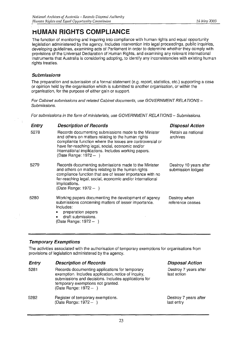The function of monitoring and inquiring into compliance with human rights and equal opportunity legislation administered by the agency. Includes intervention into legal proceedings. public inquiries. developing guidelines. examining acts of Parliament in order to determine whether they comply with provisions of the Universal Declaration of Human Rights. and examining any relevant international instruments that Australia is considering adopting. to identify any inconsistencies with existing human rights treaties.

### **Submissions**

The preparation and submission of a formal statement (e.g. report. statistics. etc.) supporting a case or opinion held by the organisation which is submitted to another organisation. or within the organisation, for the purpose of either gain or support.

For Cabinet submissions and related Cabinet documents, use GOVERNMENT RELATIONS -Submissions.

For submissions in the form of ministerials, use GOVERNMENT RELATIONS - Submissions.

| Entry | <b>Description of Records</b>                                                                                                                                                                                                                                                                                | <b>Disposal Action</b>                      |
|-------|--------------------------------------------------------------------------------------------------------------------------------------------------------------------------------------------------------------------------------------------------------------------------------------------------------------|---------------------------------------------|
| 5278  | Records documenting submissions made to the Minister<br>and others on matters relating to the human rights<br>compliance function where the issues are controversial or<br>have far-reaching legal, social, economic and/or<br>international implications. Includes working papers.<br>(Date Range: 1972 - ) | Retain as national<br>archives              |
| 5279  | Records documenting submissions made to the Minister<br>and others on matters relating to the human rights<br>compliance function that are of lesser importance with no<br>far-reaching legal, social, economic and/or international<br>implications.<br>(Date Range: 1972 - )                               | Destroy 10 years after<br>submission lodged |
| 5280  | Working papers documenting the development of agency<br>submissions concerning matters of lesser importance.<br>Includes:<br>preparation papers<br>draft submissions.<br>$\bullet$<br>(Date Range: 1972 - )                                                                                                  | Destroy when<br>reference ceases            |

### **Temporary Exemptions**

The activities associated with the authorisation of temporary exemptions for organisations from provisions of legislation administered by the agency.

| Entry | <b>Description of Records</b>                                                                                                                                                                                               | <b>Disposal Action</b>               |
|-------|-----------------------------------------------------------------------------------------------------------------------------------------------------------------------------------------------------------------------------|--------------------------------------|
| 5281  | Records documenting applications for temporary<br>exemption. Includes application, notice of inquiry,<br>submissions and decisions. Includes applications for<br>temporary exemptions not granted.<br>(Date Range: 1972 - ) | Destroy 7 years after<br>last action |
| 5282  | Register of temporary exemptions.<br>(Date Range: 1972 - )                                                                                                                                                                  | Destroy 7 years after<br>last entry  |